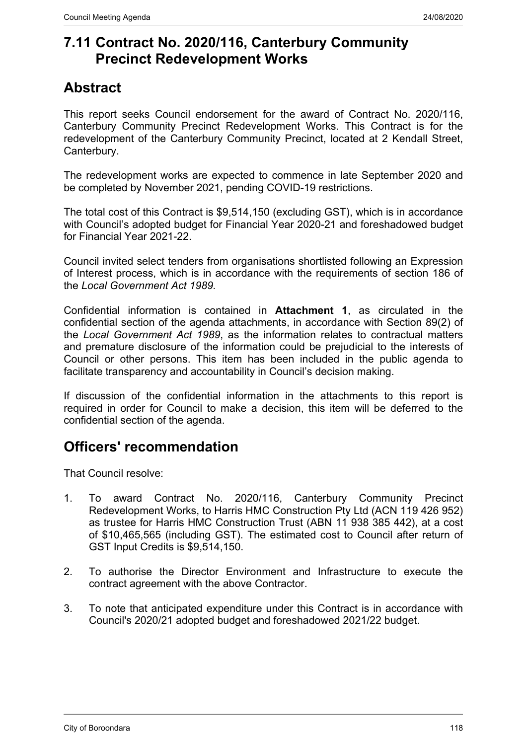# **7.11 Contract No. 2020/116, Canterbury Community Precinct Redevelopment Works**

# **Abstract**

This report seeks Council endorsement for the award of Contract No. 2020/116, Canterbury Community Precinct Redevelopment Works. This Contract is for the redevelopment of the Canterbury Community Precinct, located at 2 Kendall Street, Canterbury.

The redevelopment works are expected to commence in late September 2020 and be completed by November 2021, pending COVID-19 restrictions.

The total cost of this Contract is \$9,514,150 (excluding GST), which is in accordance with Council's adopted budget for Financial Year 2020-21 and foreshadowed budget for Financial Year 2021-22.

Council invited select tenders from organisations shortlisted following an Expression of Interest process, which is in accordance with the requirements of section 186 of the *Local Government Act 1989.*

Confidential information is contained in **Attachment 1**, as circulated in the confidential section of the agenda attachments, in accordance with Section 89(2) of the *Local Government Act 1989*, as the information relates to contractual matters and premature disclosure of the information could be prejudicial to the interests of Council or other persons. This item has been included in the public agenda to facilitate transparency and accountability in Council's decision making.

If discussion of the confidential information in the attachments to this report is required in order for Council to make a decision, this item will be deferred to the confidential section of the agenda.

# **Officers' recommendation**

That Council resolve:

- 1. To award Contract No. 2020/116, Canterbury Community Precinct Redevelopment Works, to Harris HMC Construction Pty Ltd (ACN 119 426 952) as trustee for Harris HMC Construction Trust (ABN 11 938 385 442), at a cost of \$10,465,565 (including GST). The estimated cost to Council after return of GST Input Credits is \$9,514,150.
- 2. To authorise the Director Environment and Infrastructure to execute the contract agreement with the above Contractor.
- 3. To note that anticipated expenditure under this Contract is in accordance with Council's 2020/21 adopted budget and foreshadowed 2021/22 budget.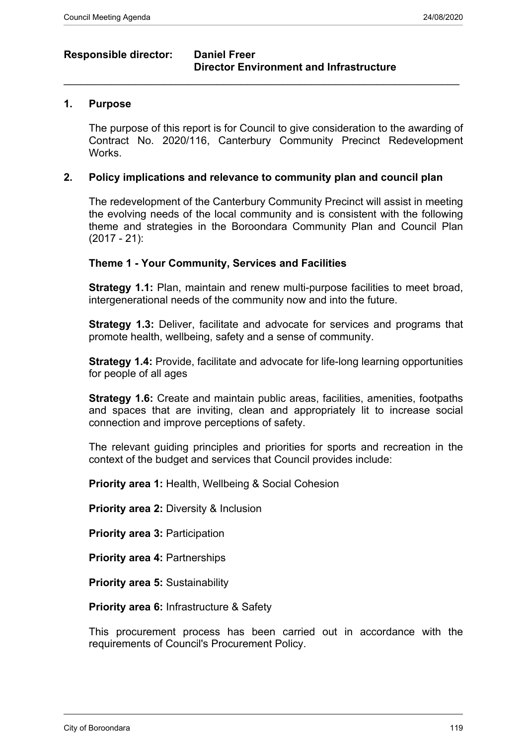## **Responsible director: Daniel Freer**

# **Director Environment and Infrastructure**

#### **1. Purpose**

The purpose of this report is for Council to give consideration to the awarding of Contract No. 2020/116, Canterbury Community Precinct Redevelopment Works.

#### **2. Policy implications and relevance to community plan and council plan**

 $\_$  , and the set of the set of the set of the set of the set of the set of the set of the set of the set of the set of the set of the set of the set of the set of the set of the set of the set of the set of the set of th

The redevelopment of the Canterbury Community Precinct will assist in meeting the evolving needs of the local community and is consistent with the following theme and strategies in the Boroondara Community Plan and Council Plan (2017 - 21):

#### **Theme 1 - Your Community, Services and Facilities**

**Strategy 1.1:** Plan, maintain and renew multi-purpose facilities to meet broad, intergenerational needs of the community now and into the future.

**Strategy 1.3:** Deliver, facilitate and advocate for services and programs that promote health, wellbeing, safety and a sense of community.

**Strategy 1.4:** Provide, facilitate and advocate for life-long learning opportunities for people of all ages

**Strategy 1.6:** Create and maintain public areas, facilities, amenities, footpaths and spaces that are inviting, clean and appropriately lit to increase social connection and improve perceptions of safety.

The relevant guiding principles and priorities for sports and recreation in the context of the budget and services that Council provides include:

**Priority area 1:** Health, Wellbeing & Social Cohesion

**Priority area 2:** Diversity & Inclusion

**Priority area 3: Participation** 

**Priority area 4:** Partnerships

**Priority area 5: Sustainability** 

**Priority area 6:** Infrastructure & Safety

This procurement process has been carried out in accordance with the requirements of Council's Procurement Policy.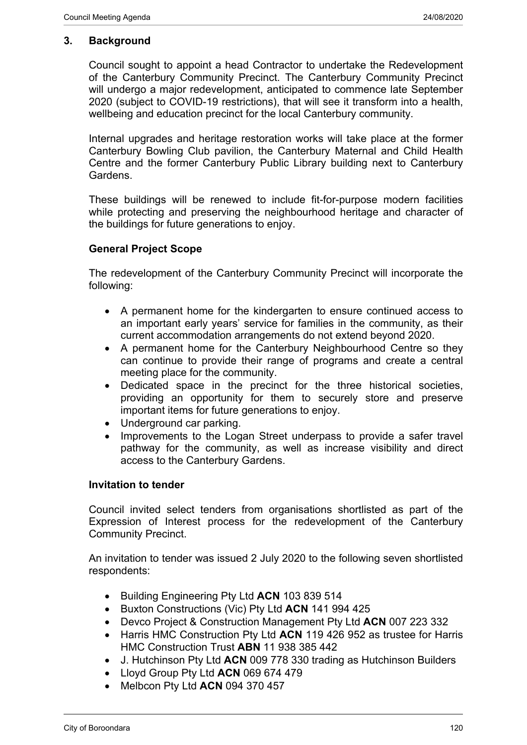#### **3. Background**

Council sought to appoint a head Contractor to undertake the Redevelopment of the Canterbury Community Precinct. The Canterbury Community Precinct will undergo a major redevelopment, anticipated to commence late September 2020 (subject to COVID-19 restrictions), that will see it transform into a health, wellbeing and education precinct for the local Canterbury community.

Internal upgrades and heritage restoration works will take place at the former Canterbury Bowling Club pavilion, the Canterbury Maternal and Child Health Centre and the former Canterbury Public Library building next to Canterbury Gardens.

These buildings will be renewed to include fit-for-purpose modern facilities while protecting and preserving the neighbourhood heritage and character of the buildings for future generations to enjoy.

#### **General Project Scope**

The redevelopment of the Canterbury Community Precinct will incorporate the following:

- A permanent home for the kindergarten to ensure continued access to an important early years' service for families in the community, as their current accommodation arrangements do not extend beyond 2020.
- A permanent home for the Canterbury Neighbourhood Centre so they can continue to provide their range of programs and create a central meeting place for the community.
- Dedicated space in the precinct for the three historical societies, providing an opportunity for them to securely store and preserve important items for future generations to enjoy.
- Underground car parking.
- Improvements to the Logan Street underpass to provide a safer travel pathway for the community, as well as increase visibility and direct access to the Canterbury Gardens.

#### **Invitation to tender**

Council invited select tenders from organisations shortlisted as part of the Expression of Interest process for the redevelopment of the Canterbury Community Precinct.

An invitation to tender was issued 2 July 2020 to the following seven shortlisted respondents:

- Building Engineering Pty Ltd **ACN** 103 839 514
- Buxton Constructions (Vic) Pty Ltd **ACN** 141 994 425
- Devco Project & Construction Management Pty Ltd **ACN** 007 223 332
- Harris HMC Construction Pty Ltd **ACN** 119 426 952 as trustee for Harris HMC Construction Trust **ABN** 11 938 385 442
- J. Hutchinson Pty Ltd **ACN** 009 778 330 trading as Hutchinson Builders
- Lloyd Group Pty Ltd **ACN** 069 674 479
- Melbcon Pty Ltd **ACN** 094 370 457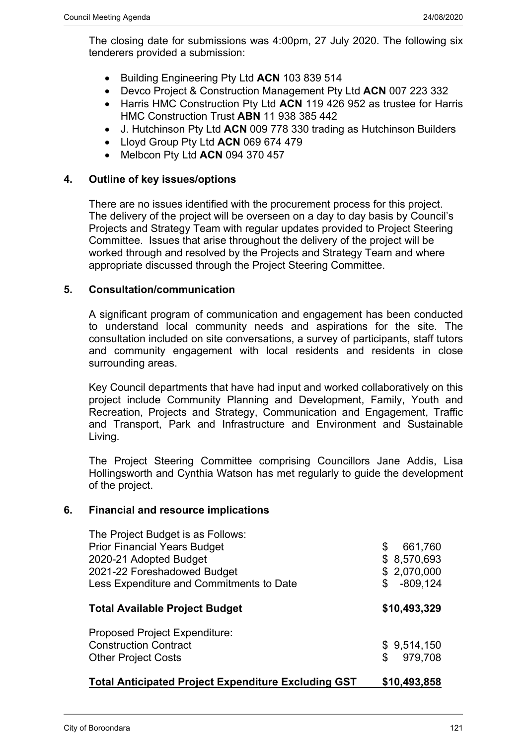- Building Engineering Pty Ltd **ACN** 103 839 514
- Devco Project & Construction Management Pty Ltd **ACN** 007 223 332
- Harris HMC Construction Pty Ltd **ACN** 119 426 952 as trustee for Harris HMC Construction Trust **ABN** 11 938 385 442
- J. Hutchinson Pty Ltd **ACN** 009 778 330 trading as Hutchinson Builders
- Lloyd Group Pty Ltd **ACN** 069 674 479
- Melbcon Pty Ltd **ACN** 094 370 457

## **4. Outline of key issues/options**

There are no issues identified with the procurement process for this project. The delivery of the project will be overseen on a day to day basis by Council's Projects and Strategy Team with regular updates provided to Project Steering Committee. Issues that arise throughout the delivery of the project will be worked through and resolved by the Projects and Strategy Team and where appropriate discussed through the Project Steering Committee.

## **5. Consultation/communication**

A significant program of communication and engagement has been conducted to understand local community needs and aspirations for the site. The consultation included on site conversations, a survey of participants, staff tutors and community engagement with local residents and residents in close surrounding areas.

Key Council departments that have had input and worked collaboratively on this project include Community Planning and Development, Family, Youth and Recreation, Projects and Strategy, Communication and Engagement, Traffic and Transport, Park and Infrastructure and Environment and Sustainable Living.

The Project Steering Committee comprising Councillors Jane Addis, Lisa Hollingsworth and Cynthia Watson has met regularly to guide the development of the project.

## **6. Financial and resource implications**

| The Project Budget is as Follows:<br><b>Prior Financial Years Budget</b><br>2020-21 Adopted Budget<br>2021-22 Foreshadowed Budget<br>Less Expenditure and Commitments to Date | \$<br>661,760<br>\$8,570,693<br>\$2,070,000<br>$-809, 124$<br>\$ |
|-------------------------------------------------------------------------------------------------------------------------------------------------------------------------------|------------------------------------------------------------------|
| <b>Total Available Project Budget</b>                                                                                                                                         | \$10,493,329                                                     |
| <b>Proposed Project Expenditure:</b><br><b>Construction Contract</b><br><b>Other Project Costs</b>                                                                            | \$9,514,150<br>\$<br>979,708                                     |
| <b>Total Anticipated Project Expenditure Excluding GST</b>                                                                                                                    | \$10,493,858                                                     |